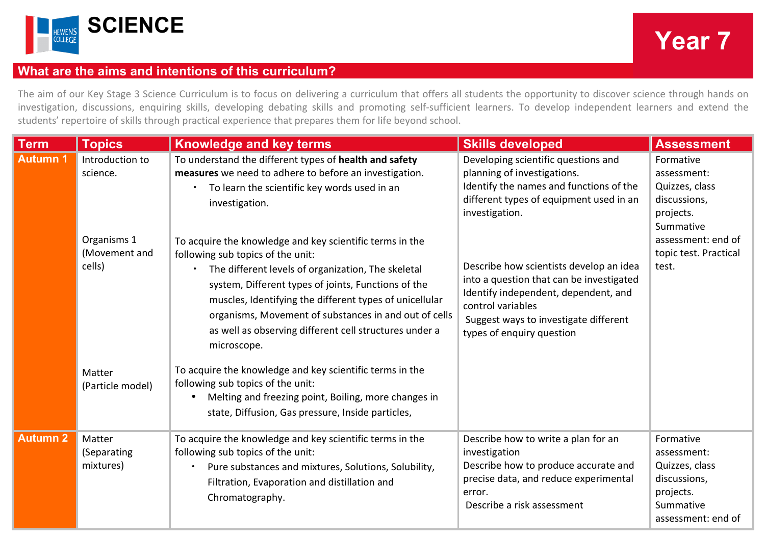

## **What are the aims and intentions of this curriculum?**

The aim of our Key Stage 3 Science Curriculum is to focus on delivering a curriculum that offers all students the opportunity to discover science through hands on investigation, discussions, enquiring skills, developing debating skills and promoting self-sufficient learners. To develop independent learners and extend the students' repertoire of skills through practical experience that prepares them for life beyond school.

| <b>Term</b>     | <b>Topics</b>                                                                   | <b>Knowledge and key terms</b>                                                                                                                                                                                                                                                                                                                                                                                                                                                                                                                                                                                                                                         | <b>Skills developed</b>                                                                                                                                                                                                                                                                                                                                                                              | <b>Assessment</b>                                                                                                                            |
|-----------------|---------------------------------------------------------------------------------|------------------------------------------------------------------------------------------------------------------------------------------------------------------------------------------------------------------------------------------------------------------------------------------------------------------------------------------------------------------------------------------------------------------------------------------------------------------------------------------------------------------------------------------------------------------------------------------------------------------------------------------------------------------------|------------------------------------------------------------------------------------------------------------------------------------------------------------------------------------------------------------------------------------------------------------------------------------------------------------------------------------------------------------------------------------------------------|----------------------------------------------------------------------------------------------------------------------------------------------|
| <b>Autumn 1</b> | Introduction to<br>science.<br>Organisms 1<br>(Movement and<br>cells)<br>Matter | To understand the different types of health and safety<br>measures we need to adhere to before an investigation.<br>To learn the scientific key words used in an<br>investigation.<br>To acquire the knowledge and key scientific terms in the<br>following sub topics of the unit:<br>The different levels of organization, The skeletal<br>$\bullet$<br>system, Different types of joints, Functions of the<br>muscles, Identifying the different types of unicellular<br>organisms, Movement of substances in and out of cells<br>as well as observing different cell structures under a<br>microscope.<br>To acquire the knowledge and key scientific terms in the | Developing scientific questions and<br>planning of investigations.<br>Identify the names and functions of the<br>different types of equipment used in an<br>investigation.<br>Describe how scientists develop an idea<br>into a question that can be investigated<br>Identify independent, dependent, and<br>control variables<br>Suggest ways to investigate different<br>types of enquiry question | Formative<br>assessment:<br>Quizzes, class<br>discussions,<br>projects.<br>Summative<br>assessment: end of<br>topic test. Practical<br>test. |
|                 | (Particle model)                                                                | following sub topics of the unit:<br>Melting and freezing point, Boiling, more changes in<br>$\bullet$<br>state, Diffusion, Gas pressure, Inside particles,                                                                                                                                                                                                                                                                                                                                                                                                                                                                                                            |                                                                                                                                                                                                                                                                                                                                                                                                      |                                                                                                                                              |
| <b>Autumn 2</b> | Matter<br>(Separating<br>mixtures)                                              | To acquire the knowledge and key scientific terms in the<br>following sub topics of the unit:<br>Pure substances and mixtures, Solutions, Solubility,<br>Filtration, Evaporation and distillation and<br>Chromatography.                                                                                                                                                                                                                                                                                                                                                                                                                                               | Describe how to write a plan for an<br>investigation<br>Describe how to produce accurate and<br>precise data, and reduce experimental<br>error.<br>Describe a risk assessment                                                                                                                                                                                                                        | Formative<br>assessment:<br>Quizzes, class<br>discussions,<br>projects.<br>Summative<br>assessment: end of                                   |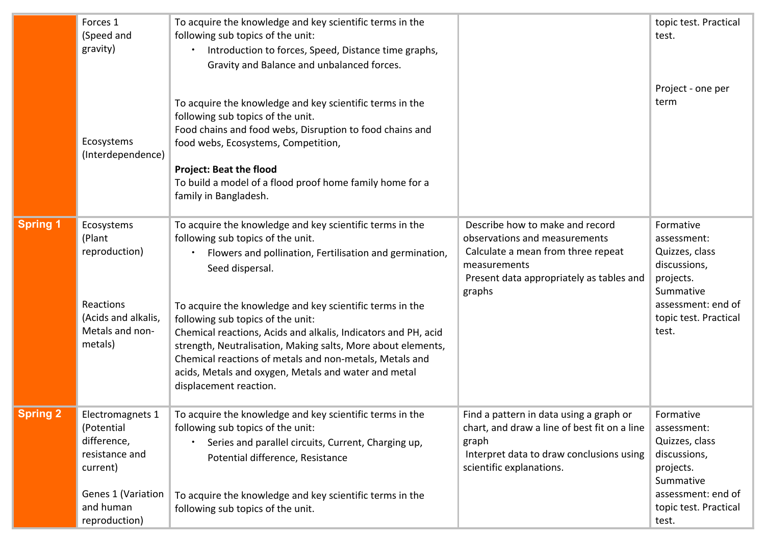|                 | Forces 1<br>(Speed and<br>gravity)                                                                                              | To acquire the knowledge and key scientific terms in the<br>following sub topics of the unit:<br>Introduction to forces, Speed, Distance time graphs,<br>Gravity and Balance and unbalanced forces.                                                                                                                                                                                                                                                                                                                                                         |                                                                                                                                                                              | topic test. Practical<br>test.                                                                                                               |
|-----------------|---------------------------------------------------------------------------------------------------------------------------------|-------------------------------------------------------------------------------------------------------------------------------------------------------------------------------------------------------------------------------------------------------------------------------------------------------------------------------------------------------------------------------------------------------------------------------------------------------------------------------------------------------------------------------------------------------------|------------------------------------------------------------------------------------------------------------------------------------------------------------------------------|----------------------------------------------------------------------------------------------------------------------------------------------|
|                 | Ecosystems<br>(Interdependence)                                                                                                 | To acquire the knowledge and key scientific terms in the<br>following sub topics of the unit.<br>Food chains and food webs, Disruption to food chains and<br>food webs, Ecosystems, Competition,<br><b>Project: Beat the flood</b><br>To build a model of a flood proof home family home for a<br>family in Bangladesh.                                                                                                                                                                                                                                     |                                                                                                                                                                              | Project - one per<br>term                                                                                                                    |
| <b>Spring 1</b> | Ecosystems<br>(Plant<br>reproduction)<br>Reactions<br>(Acids and alkalis,<br>Metals and non-<br>metals)                         | To acquire the knowledge and key scientific terms in the<br>following sub topics of the unit.<br>Flowers and pollination, Fertilisation and germination,<br>Seed dispersal.<br>To acquire the knowledge and key scientific terms in the<br>following sub topics of the unit:<br>Chemical reactions, Acids and alkalis, Indicators and PH, acid<br>strength, Neutralisation, Making salts, More about elements,<br>Chemical reactions of metals and non-metals, Metals and<br>acids, Metals and oxygen, Metals and water and metal<br>displacement reaction. | Describe how to make and record<br>observations and measurements<br>Calculate a mean from three repeat<br>measurements<br>Present data appropriately as tables and<br>graphs | Formative<br>assessment:<br>Quizzes, class<br>discussions,<br>projects.<br>Summative<br>assessment: end of<br>topic test. Practical<br>test. |
| <b>Spring 2</b> | Electromagnets 1<br>(Potential<br>difference,<br>resistance and<br>current)<br>Genes 1 (Variation<br>and human<br>reproduction) | To acquire the knowledge and key scientific terms in the<br>following sub topics of the unit:<br>Series and parallel circuits, Current, Charging up,<br>Potential difference, Resistance<br>To acquire the knowledge and key scientific terms in the<br>following sub topics of the unit.                                                                                                                                                                                                                                                                   | Find a pattern in data using a graph or<br>chart, and draw a line of best fit on a line<br>graph<br>Interpret data to draw conclusions using<br>scientific explanations.     | Formative<br>assessment:<br>Quizzes, class<br>discussions,<br>projects.<br>Summative<br>assessment: end of<br>topic test. Practical<br>test. |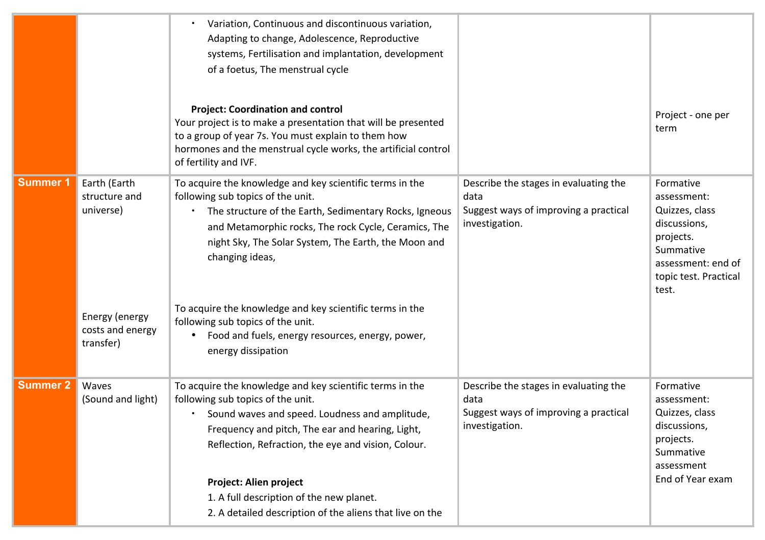|                 |                                                                                               | Variation, Continuous and discontinuous variation,<br>Adapting to change, Adolescence, Reproductive<br>systems, Fertilisation and implantation, development<br>of a foetus, The menstrual cycle<br><b>Project: Coordination and control</b><br>Your project is to make a presentation that will be presented<br>to a group of year 7s. You must explain to them how<br>hormones and the menstrual cycle works, the artificial control<br>of fertility and IVF.        |                                                                                                          | Project - one per<br>term                                                                                                                    |
|-----------------|-----------------------------------------------------------------------------------------------|-----------------------------------------------------------------------------------------------------------------------------------------------------------------------------------------------------------------------------------------------------------------------------------------------------------------------------------------------------------------------------------------------------------------------------------------------------------------------|----------------------------------------------------------------------------------------------------------|----------------------------------------------------------------------------------------------------------------------------------------------|
| <b>Summer 1</b> | Earth (Earth<br>structure and<br>universe)<br>Energy (energy<br>costs and energy<br>transfer) | To acquire the knowledge and key scientific terms in the<br>following sub topics of the unit.<br>The structure of the Earth, Sedimentary Rocks, Igneous<br>and Metamorphic rocks, The rock Cycle, Ceramics, The<br>night Sky, The Solar System, The Earth, the Moon and<br>changing ideas,<br>To acquire the knowledge and key scientific terms in the<br>following sub topics of the unit.<br>Food and fuels, energy resources, energy, power,<br>energy dissipation | Describe the stages in evaluating the<br>data<br>Suggest ways of improving a practical<br>investigation. | Formative<br>assessment:<br>Quizzes, class<br>discussions,<br>projects.<br>Summative<br>assessment: end of<br>topic test. Practical<br>test. |
| <b>Summer 2</b> | Waves<br>(Sound and light)                                                                    | To acquire the knowledge and key scientific terms in the<br>following sub topics of the unit.<br>Sound waves and speed. Loudness and amplitude,<br>Frequency and pitch, The ear and hearing, Light,<br>Reflection, Refraction, the eye and vision, Colour.<br>Project: Alien project<br>1. A full description of the new planet.<br>2. A detailed description of the aliens that live on the                                                                          | Describe the stages in evaluating the<br>data<br>Suggest ways of improving a practical<br>investigation. | Formative<br>assessment:<br>Quizzes, class<br>discussions,<br>projects.<br>Summative<br>assessment<br>End of Year exam                       |